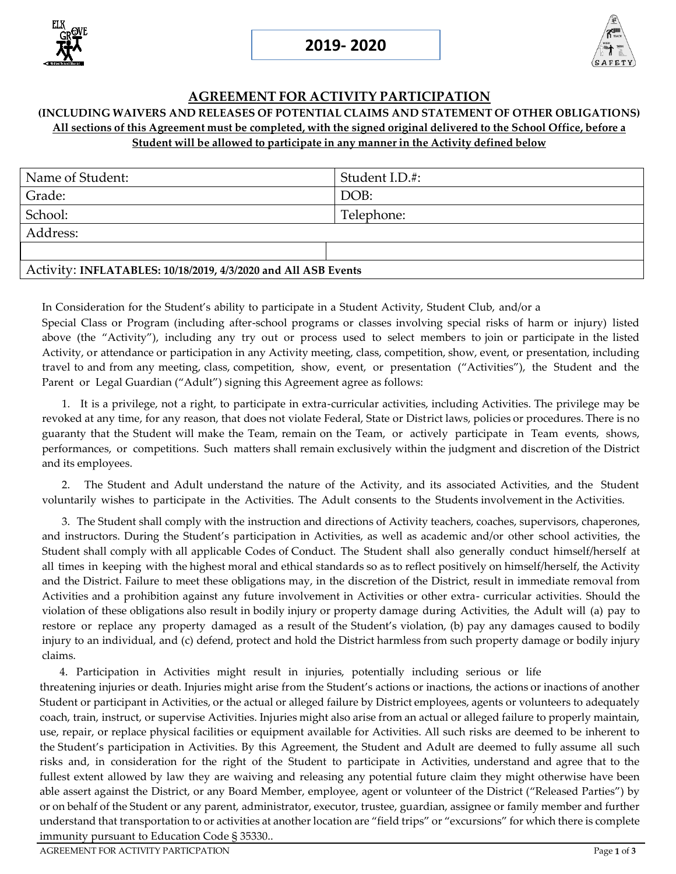



## **AGREEMENT FOR ACTIVITY PARTICIPATION**

## **(INCLUDING WAIVERS AND RELEASES OF POTENTIAL CLAIMS AND STATEMENT OF OTHER OBLIGATIONS)**  All sections of this Agreement must be completed, with the signed original delivered to the School Office, before a **Student will be allowed to participate in any manner in the Activity defined below**

| Name of Student:                                               | Student I.D.#: |
|----------------------------------------------------------------|----------------|
| Grade:                                                         | DOB:           |
| School:                                                        | Telephone:     |
| Address:                                                       |                |
|                                                                |                |
| Activity: INFLATABLES: 10/18/2019, 4/3/2020 and All ASB Events |                |

In Consideration for the Student's ability to participate in a Student Activity, Student Club, and/or a Special Class or Program (including after-school programs or classes involving special risks of harm or injury) listed above (the "Activity"), including any try out or process used to select members to join or participate in the listed Activity, or attendance or participation in any Activity meeting, class, competition, show, event, or presentation, including travel to and from any meeting, class, competition, show, event, or presentation ("Activities"), the Student and the Parent or Legal Guardian ("Adult") signing this Agreement agree as follows:

1. It is a privilege, not a right, to participate in extra-curricular activities, including Activities. The privilege may be revoked at any time, for any reason, that does not violate Federal, State or District laws, policies or procedures. There is no guaranty that the Student will make the Team, remain on the Team, or actively participate in Team events, shows, performances, or competitions. Such matters shall remain exclusively within the judgment and discretion of the District and its employees.

2. The Student and Adult understand the nature of the Activity, and its associated Activities, and the Student voluntarily wishes to participate in the Activities. The Adult consents to the Students involvement in the Activities.

3. The Student shall comply with the instruction and directions of Activity teachers, coaches, supervisors, chaperones, and instructors. During the Student's participation in Activities, as well as academic and/or other school activities, the Student shall comply with all applicable Codes of Conduct. The Student shall also generally conduct himself/herself at all times in keeping with the highest moral and ethical standards so as to reflect positively on himself/herself, the Activity and the District. Failure to meet these obligations may, in the discretion of the District, result in immediate removal from Activities and a prohibition against any future involvement in Activities or other extra- curricular activities. Should the violation of these obligations also result in bodily injury or property damage during Activities, the Adult will (a) pay to restore or replace any property damaged as a result of the Student's violation, (b) pay any damages caused to bodily injury to an individual, and (c) defend, protect and hold the District harmless from such property damage or bodily injury claims.

4. Participation in Activities might result in injuries, potentially including serious or life

threatening injuries or death. Injuries might arise from the Student's actions or inactions, the actions or inactions of another Student or participant in Activities, or the actual or alleged failure by District employees, agents or volunteers to adequately coach, train, instruct, or supervise Activities. Injuries might also arise from an actual or alleged failure to properly maintain, use, repair, or replace physical facilities or equipment available for Activities. All such risks are deemed to be inherent to the Student's participation in Activities. By this Agreement, the Student and Adult are deemed to fully assume all such risks and, in consideration for the right of the Student to participate in Activities, understand and agree that to the fullest extent allowed by law they are waiving and releasing any potential future claim they might otherwise have been able assert against the District, or any Board Member, employee, agent or volunteer of the District ("Released Parties") by or on behalf of the Student or any parent, administrator, executor, trustee, guardian, assignee or family member and further understand that transportation to or activities at another location are "field trips" or "excursions" for which there is complete immunity pursuant to Education Code § 35330..